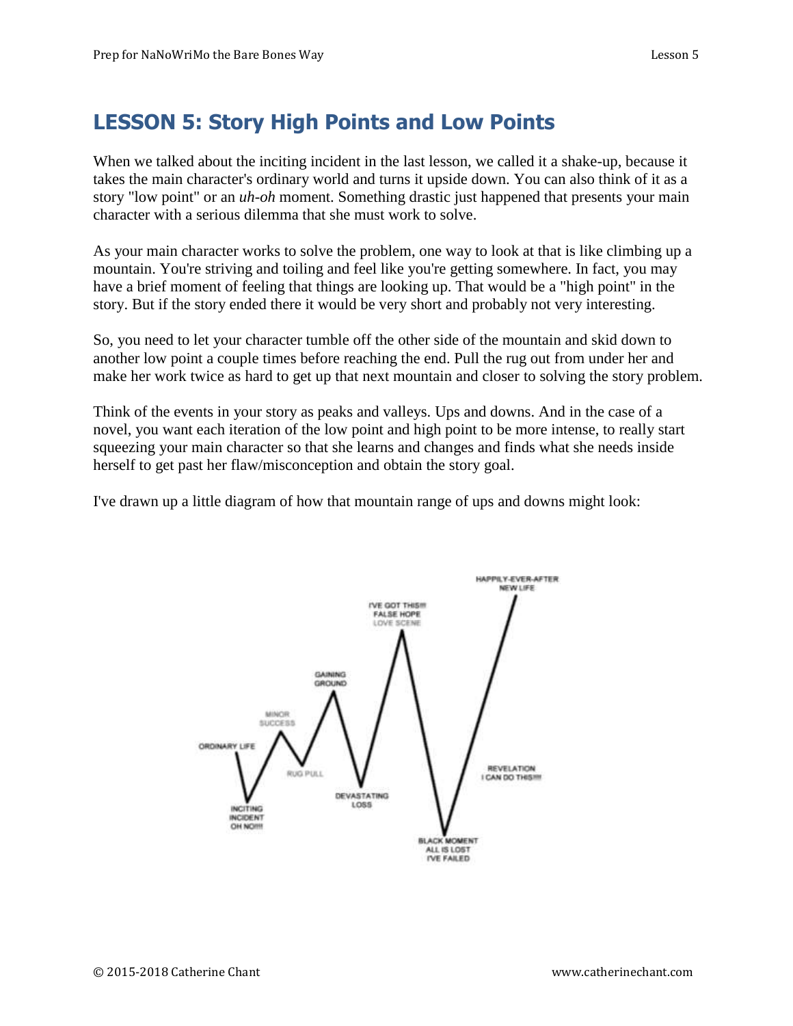## **LESSON 5: Story High Points and Low Points**

When we talked about the inciting incident in the last lesson, we called it a shake-up, because it takes the main character's ordinary world and turns it upside down. You can also think of it as a story "low point" or an *uh-oh* moment. Something drastic just happened that presents your main character with a serious dilemma that she must work to solve.

As your main character works to solve the problem, one way to look at that is like climbing up a mountain. You're striving and toiling and feel like you're getting somewhere. In fact, you may have a brief moment of feeling that things are looking up. That would be a "high point" in the story. But if the story ended there it would be very short and probably not very interesting.

So, you need to let your character tumble off the other side of the mountain and skid down to another low point a couple times before reaching the end. Pull the rug out from under her and make her work twice as hard to get up that next mountain and closer to solving the story problem.

Think of the events in your story as peaks and valleys. Ups and downs. And in the case of a novel, you want each iteration of the low point and high point to be more intense, to really start squeezing your main character so that she learns and changes and finds what she needs inside herself to get past her flaw/misconception and obtain the story goal.

I've drawn up a little diagram of how that mountain range of ups and downs might look:

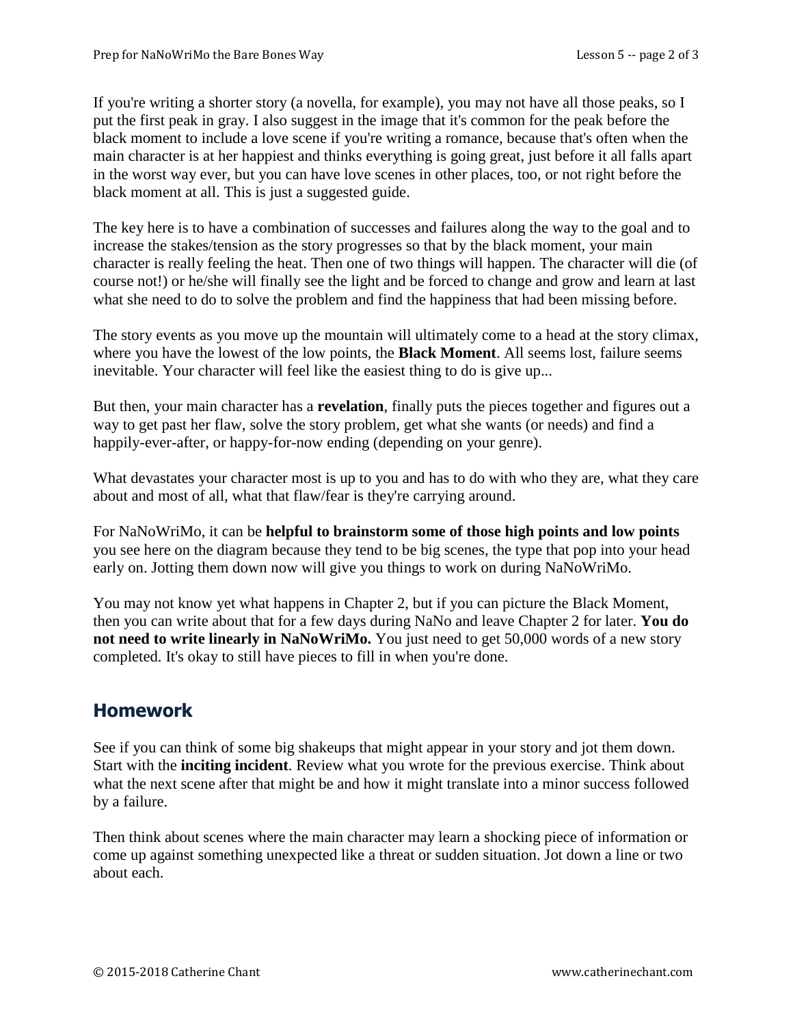If you're writing a shorter story (a novella, for example), you may not have all those peaks, so I put the first peak in gray. I also suggest in the image that it's common for the peak before the black moment to include a love scene if you're writing a romance, because that's often when the main character is at her happiest and thinks everything is going great, just before it all falls apart in the worst way ever, but you can have love scenes in other places, too, or not right before the black moment at all. This is just a suggested guide.

The key here is to have a combination of successes and failures along the way to the goal and to increase the stakes/tension as the story progresses so that by the black moment, your main character is really feeling the heat. Then one of two things will happen. The character will die (of course not!) or he/she will finally see the light and be forced to change and grow and learn at last what she need to do to solve the problem and find the happiness that had been missing before.

The story events as you move up the mountain will ultimately come to a head at the story climax, where you have the lowest of the low points, the **Black Moment**. All seems lost, failure seems inevitable. Your character will feel like the easiest thing to do is give up...

But then, your main character has a **revelation**, finally puts the pieces together and figures out a way to get past her flaw, solve the story problem, get what she wants (or needs) and find a happily-ever-after, or happy-for-now ending (depending on your genre).

What devastates your character most is up to you and has to do with who they are, what they care about and most of all, what that flaw/fear is they're carrying around.

For NaNoWriMo, it can be **helpful to brainstorm some of those high points and low points** you see here on the diagram because they tend to be big scenes, the type that pop into your head early on. Jotting them down now will give you things to work on during NaNoWriMo.

You may not know yet what happens in Chapter 2, but if you can picture the Black Moment, then you can write about that for a few days during NaNo and leave Chapter 2 for later. **You do not need to write linearly in NaNoWriMo.** You just need to get 50,000 words of a new story completed. It's okay to still have pieces to fill in when you're done.

## **Homework**

See if you can think of some big shakeups that might appear in your story and jot them down. Start with the **inciting incident**. Review what you wrote for the previous exercise. Think about what the next scene after that might be and how it might translate into a minor success followed by a failure.

Then think about scenes where the main character may learn a shocking piece of information or come up against something unexpected like a threat or sudden situation. Jot down a line or two about each.